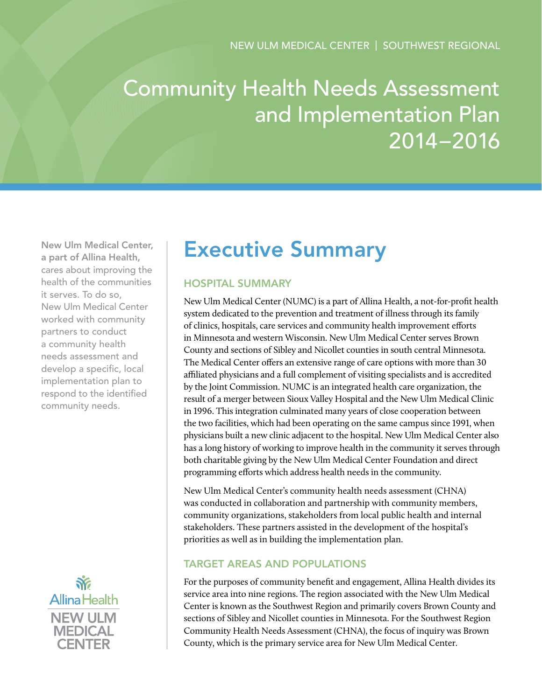# Community Health Needs Assessment and Implementation Plan 2014–2016

New Ulm Medical Center, a part of Allina Health, cares about improving the health of the communities it serves. To do so, New Ulm Medical Center worked with community partners to conduct a community health needs assessment and develop a specific, local implementation plan to respond to the identified community needs.



# Executive Summary

# Hospital Summary

New Ulm Medical Center (NUMC) is a part of Allina Health, a not-for-profit health system dedicated to the prevention and treatment of illness through its family of clinics, hospitals, care services and community health improvement efforts in Minnesota and western Wisconsin. New Ulm Medical Center serves Brown County and sections of Sibley and Nicollet counties in south central Minnesota. The Medical Center offers an extensive range of care options with more than 30 affiliated physicians and a full complement of visiting specialists and is accredited by the Joint Commission. NUMC is an integrated health care organization, the result of a merger between Sioux Valley Hospital and the New Ulm Medical Clinic in 1996. This integration culminated many years of close cooperation between the two facilities, which had been operating on the same campus since 1991, when physicians built a new clinic adjacent to the hospital. New Ulm Medical Center also has a long history of working to improve health in the community it serves through both charitable giving by the New Ulm Medical Center Foundation and direct programming efforts which address health needs in the community.

New Ulm Medical Center's community health needs assessment (CHNA) was conducted in collaboration and partnership with community members, community organizations, stakeholders from local public health and internal stakeholders. These partners assisted in the development of the hospital's priorities as well as in building the implementation plan.

#### Target Areas and Populations

For the purposes of community benefit and engagement, Allina Health divides its service area into nine regions. The region associated with the New Ulm Medical Center is known as the Southwest Region and primarily covers Brown County and sections of Sibley and Nicollet counties in Minnesota. For the Southwest Region Community Health Needs Assessment (CHNA), the focus of inquiry was Brown County, which is the primary service area for New Ulm Medical Center.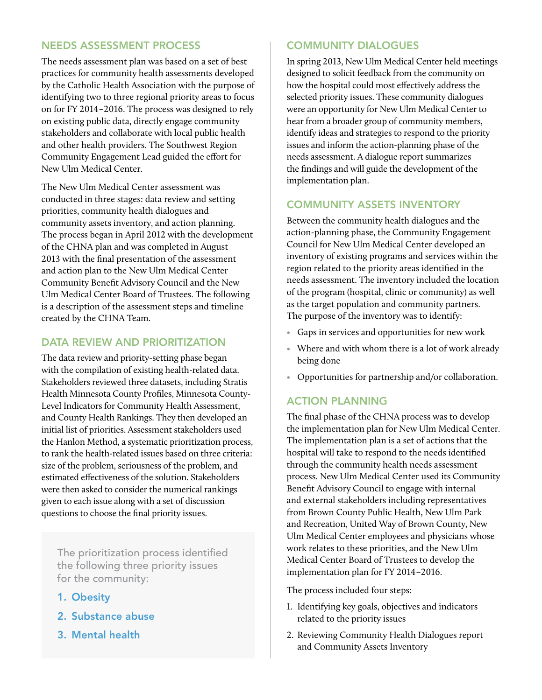#### Needs Assessment Process

The needs assessment plan was based on a set of best practices for community health assessments developed by the Catholic Health Association with the purpose of identifying two to three regional priority areas to focus on for FY 2014–2016. The process was designed to rely on existing public data, directly engage community stakeholders and collaborate with local public health and other health providers. The Southwest Region Community Engagement Lead guided the effort for New Ulm Medical Center.

The New Ulm Medical Center assessment was conducted in three stages: data review and setting priorities, community health dialogues and community assets inventory, and action planning. The process began in April 2012 with the development of the CHNA plan and was completed in August 2013 with the final presentation of the assessment and action plan to the New Ulm Medical Center Community Benefit Advisory Council and the New Ulm Medical Center Board of Trustees. The following is a description of the assessment steps and timeline created by the CHNA Team.

### DATA REVIEW AND PRIORITIZATION

The data review and priority-setting phase began with the compilation of existing health-related data. Stakeholders reviewed three datasets, including Stratis Health Minnesota County Profiles, Minnesota County-Level Indicators for Community Health Assessment, and County Health Rankings. They then developed an initial list of priorities. Assessment stakeholders used the Hanlon Method, a systematic prioritization process, to rank the health-related issues based on three criteria: size of the problem, seriousness of the problem, and estimated effectiveness of the solution. Stakeholders were then asked to consider the numerical rankings given to each issue along with a set of discussion questions to choose the final priority issues.

The prioritization process identified the following three priority issues for the community:

- 1. Obesity
- 2. Substance abuse
- 3. Mental health

# Community Dialogues

In spring 2013, New Ulm Medical Center held meetings designed to solicit feedback from the community on how the hospital could most effectively address the selected priority issues. These community dialogues were an opportunity for New Ulm Medical Center to hear from a broader group of community members, identify ideas and strategies to respond to the priority issues and inform the action-planning phase of the needs assessment. A dialogue report summarizes the findings and will guide the development of the implementation plan.

# Community Assets Inventory

Between the community health dialogues and the action-planning phase, the Community Engagement Council for New Ulm Medical Center developed an inventory of existing programs and services within the region related to the priority areas identified in the needs assessment. The inventory included the location of the program (hospital, clinic or community) as well as the target population and community partners. The purpose of the inventory was to identify:

- Gaps in services and opportunities for new work
- Where and with whom there is a lot of work already being done
- Opportunities for partnership and/or collaboration.

#### Action Planning

The final phase of the CHNA process was to develop the implementation plan for New Ulm Medical Center. The implementation plan is a set of actions that the hospital will take to respond to the needs identified through the community health needs assessment process. New Ulm Medical Center used its Community Benefit Advisory Council to engage with internal and external stakeholders including representatives from Brown County Public Health, New Ulm Park and Recreation, United Way of Brown County, New Ulm Medical Center employees and physicians whose work relates to these priorities, and the New Ulm Medical Center Board of Trustees to develop the implementation plan for FY 2014–2016.

The process included four steps:

- 1. Identifying key goals, objectives and indicators related to the priority issues
- 2. Reviewing Community Health Dialogues report and Community Assets Inventory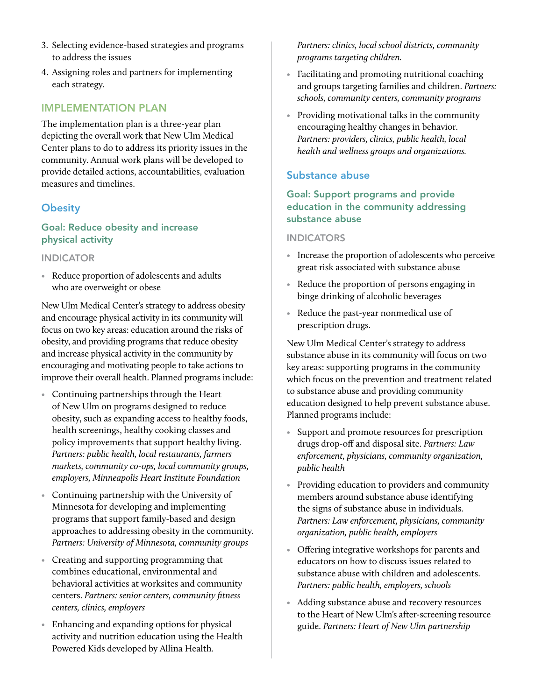- 3. Selecting evidence-based strategies and programs to address the issues
- 4. Assigning roles and partners for implementing each strategy.

#### Implementation Plan

The implementation plan is a three-year plan depicting the overall work that New Ulm Medical Center plans to do to address its priority issues in the community. Annual work plans will be developed to provide detailed actions, accountabilities, evaluation measures and timelines.

### **Obesity**

#### Goal: Reduce obesity and increase physical activity

#### **INDICATOR**

• Reduce proportion of adolescents and adults who are overweight or obese

New Ulm Medical Center's strategy to address obesity and encourage physical activity in its community will focus on two key areas: education around the risks of obesity, and providing programs that reduce obesity and increase physical activity in the community by encouraging and motivating people to take actions to improve their overall health. Planned programs include:

- Continuing partnerships through the Heart of New Ulm on programs designed to reduce obesity, such as expanding access to healthy foods, health screenings, healthy cooking classes and policy improvements that support healthy living. *Partners: public health, local restaurants, farmers markets, community co-ops, local community groups, employers, Minneapolis Heart Institute Foundation*
- Continuing partnership with the University of Minnesota for developing and implementing programs that support family-based and design approaches to addressing obesity in the community. *Partners: University of Minnesota, community groups*
- Creating and supporting programming that combines educational, environmental and behavioral activities at worksites and community centers. *Partners: senior centers, community fitness centers, clinics, employers*
- Enhancing and expanding options for physical activity and nutrition education using the Health Powered Kids developed by Allina Health.

*Partners: clinics, local school districts, community programs targeting children.*

- Facilitating and promoting nutritional coaching and groups targeting families and children. *Partners: schools, community centers, community programs*
- Providing motivational talks in the community encouraging healthy changes in behavior. *Partners: providers, clinics, public health, local health and wellness groups and organizations.*

#### Substance abuse

#### Goal: Support programs and provide education in the community addressing substance abuse

#### **INDICATORS**

- Increase the proportion of adolescents who perceive great risk associated with substance abuse
- Reduce the proportion of persons engaging in binge drinking of alcoholic beverages
- Reduce the past-year nonmedical use of prescription drugs.

New Ulm Medical Center's strategy to address substance abuse in its community will focus on two key areas: supporting programs in the community which focus on the prevention and treatment related to substance abuse and providing community education designed to help prevent substance abuse. Planned programs include:

- Support and promote resources for prescription drugs drop-off and disposal site. *Partners: Law enforcement, physicians, community organization, public health*
- Providing education to providers and community members around substance abuse identifying the signs of substance abuse in individuals. *Partners: Law enforcement, physicians, community organization, public health, employers*
- Offering integrative workshops for parents and educators on how to discuss issues related to substance abuse with children and adolescents. *Partners: public health, employers, schools*
- Adding substance abuse and recovery resources to the Heart of New Ulm's after-screening resource guide. *Partners: Heart of New Ulm partnership*